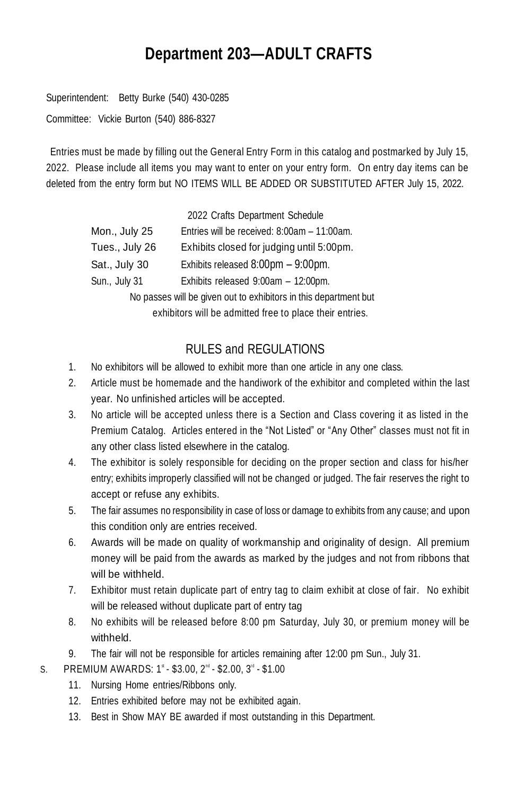# **Department 203—ADULT CRAFTS**

Superintendent: Betty Burke (540) 430-0285

Committee: Vickie Burton (540) 886-8327

Entries must be made by filling out the General Entry Form in this catalog and postmarked by July 15, 2022. Please include all items you may want to enter on your entry form. On entry day items can be deleted from the entry form but NO ITEMS WILL BE ADDED OR SUBSTITUTED AFTER July 15, 2022.

|                                                                  | 2022 Crafts Department Schedule             |  |
|------------------------------------------------------------------|---------------------------------------------|--|
| Mon., July 25                                                    | Entries will be received: 8:00am - 11:00am. |  |
| Tues., July 26                                                   | Exhibits closed for judging until 5:00pm.   |  |
| Sat., July 30                                                    | Exhibits released 8:00pm - 9:00pm.          |  |
| Sun., July 31                                                    | Exhibits released 9:00am - 12:00pm.         |  |
| No passes will be given out to exhibitors in this department but |                                             |  |
| exhibitors will be admitted free to place their entries.         |                                             |  |

# RULES and REGULATIONS

- 1. No exhibitors will be allowed to exhibit more than one article in any one class.
- 2. Article must be homemade and the handiwork of the exhibitor and completed within the last year. No unfinished articles will be accepted.
- 3. No article will be accepted unless there is a Section and Class covering it as listed in the Premium Catalog. Articles entered in the "Not Listed" or "Any Other" classes must not fit in any other class listed elsewhere in the catalog.
- 4. The exhibitor is solely responsible for deciding on the proper section and class for his/her entry; exhibits improperly classified will not be changed or judged. The fair reserves the right to accept or refuse any exhibits.
- 5. The fair assumes no responsibility in case of loss or damage to exhibits from any cause; and upon this condition only are entries received.
- 6. Awards will be made on quality of workmanship and originality of design. All premium money will be paid from the awards as marked by the judges and not from ribbons that will be withheld.
- 7. Exhibitor must retain duplicate part of entry tag to claim exhibit at close of fair. No exhibit will be released without duplicate part of entry tag
- 8. No exhibits will be released before 8:00 pm Saturday, July 30, or premium money will be withheld.
- 9. The fair will not be responsible for articles remaining after 12:00 pm Sun., July 31.
- S. PREMIUM AWARDS:  $1^*$  \$3.00,  $2^{\text{nd}}$  \$2.00,  $3^{\text{rd}}$  \$1.00
	- 11. Nursing Home entries/Ribbons only.
	- 12. Entries exhibited before may not be exhibited again.
	- 13. Best in Show MAY BE awarded if most outstanding in this Department.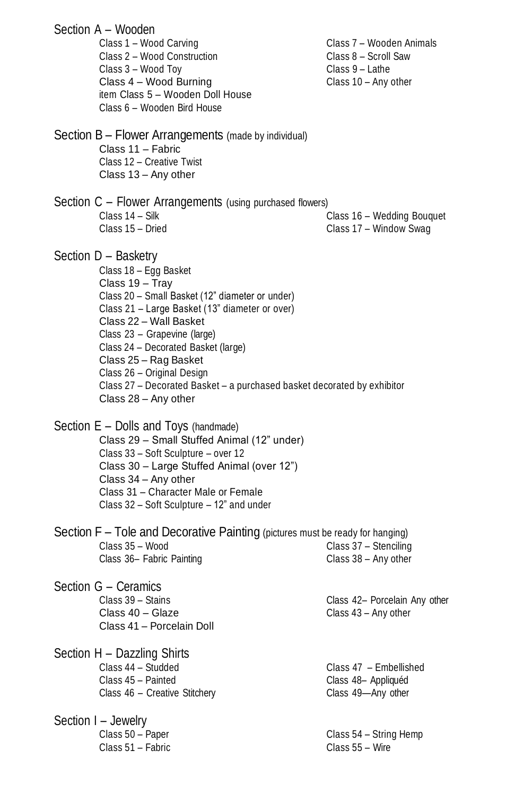|                                                                                                                                                                                                                                                                                                                                                                                                                                  | Section A - Wooden<br>Class 1 - Wood Carving<br>Class 2 - Wood Construction<br>Class 3 - Wood Toy<br>Class 4 - Wood Burning<br>item Class 5 - Wooden Doll House<br>Class 6 - Wooden Bird House                                                                                        | Class 7 - Wooden Animals<br>Class 8 - Scroll Saw<br>Class 9 - Lathe<br>Class 10 - Any other |
|----------------------------------------------------------------------------------------------------------------------------------------------------------------------------------------------------------------------------------------------------------------------------------------------------------------------------------------------------------------------------------------------------------------------------------|---------------------------------------------------------------------------------------------------------------------------------------------------------------------------------------------------------------------------------------------------------------------------------------|---------------------------------------------------------------------------------------------|
|                                                                                                                                                                                                                                                                                                                                                                                                                                  | Section B - Flower Arrangements (made by individual)<br>Class 11 - Fabric<br>Class 12 - Creative Twist<br>Class 13 - Any other                                                                                                                                                        |                                                                                             |
|                                                                                                                                                                                                                                                                                                                                                                                                                                  | Section C - Flower Arrangements (using purchased flowers)<br>Class 14 - Silk<br>Class 15 - Dried                                                                                                                                                                                      | Class 16 - Wedding Bouquet<br>Class 17 - Window Swag                                        |
| Section D - Basketry<br>Class 18 - Egg Basket<br>Class 19 - Tray<br>Class 20 - Small Basket (12" diameter or under)<br>Class 21 - Large Basket (13" diameter or over)<br>Class 22 - Wall Basket<br>Class 23 - Grapevine (large)<br>Class 24 - Decorated Basket (large)<br>Class 25 - Rag Basket<br>Class 26 - Original Design<br>Class 27 - Decorated Basket - a purchased basket decorated by exhibitor<br>Class 28 - Any other |                                                                                                                                                                                                                                                                                       |                                                                                             |
|                                                                                                                                                                                                                                                                                                                                                                                                                                  | Section E - Dolls and Toys (handmade)<br>Class 29 - Small Stuffed Animal (12" under)<br>Class 33 - Soft Sculpture - over 12<br>Class 30 - Large Stuffed Animal (over 12")<br>Class 34 - Any other<br>Class 31 - Character Male or Female<br>Class 32 - Soft Sculpture - 12" and under |                                                                                             |
|                                                                                                                                                                                                                                                                                                                                                                                                                                  | Section F – Tole and Decorative Painting (pictures must be ready for hanging)<br>Class 35 - Wood<br>Class 36- Fabric Painting                                                                                                                                                         | Class 37 - Stenciling<br>Class 38 - Any other                                               |
|                                                                                                                                                                                                                                                                                                                                                                                                                                  | Section G - Ceramics<br>Class 39 - Stains<br>Class 40 - Glaze<br>Class 41 - Porcelain Doll                                                                                                                                                                                            | Class 42- Porcelain Any other<br>Class 43 - Any other                                       |
|                                                                                                                                                                                                                                                                                                                                                                                                                                  | Section H - Dazzling Shirts<br>Class 44 - Studded<br>Class 45 - Painted<br>Class 46 - Creative Stitchery                                                                                                                                                                              | Class 47 - Embellished<br>Class 48- Appliquéd<br>Class 49-Any other                         |
|                                                                                                                                                                                                                                                                                                                                                                                                                                  | Section I - Jewelry<br>Class 50 - Paper<br>Class 51 - Fabric                                                                                                                                                                                                                          | Class 54 - String Hemp<br>Class 55 - Wire                                                   |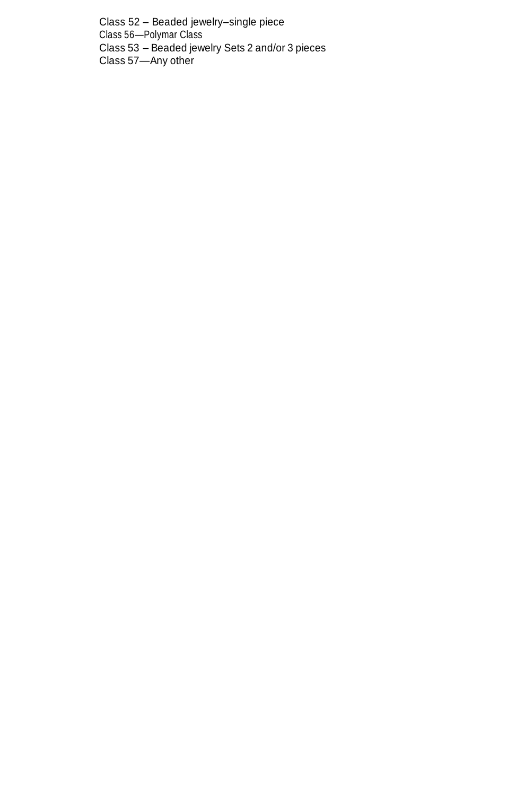Class 52 – Beaded jewelry–single piece Class 56—Polymar Class Class 53 – Beaded jewelry Sets 2 and/or 3 pieces Class 57—Any other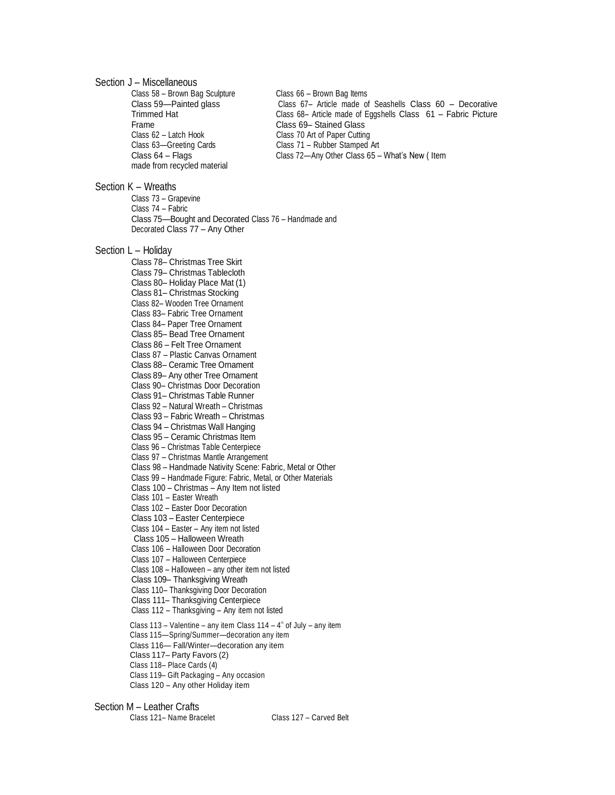#### Section J – Miscellaneous

Class 58 – Brown Bag Sculpture Class 66 – Brown Bag Items Frame Class 69– Stained Glass Class 62 – Latch Hook Class 70 Art of Paper Cutting Class 63—Greeting Cards Class 71 – Rubber Stamped Art Class 64 – Flags Class 72—Any Other Class 65 – What's New ( Item made from recycled material

Class 59—Painted glass Class 67– Article made of Seashells Class 60 – Decorative Trimmed Hat Class 68– Article made of Eggshells Class 61 – Fabric Picture

#### Section K – Wreaths

Class 73 – Grapevine Class 74 – Fabric Class 75—Bought and Decorated Class 76 – Handmade and Decorated Class 77 – Any Other

#### Section L – Holiday

Class 78– Christmas Tree Skirt Class 79– Christmas Tablecloth Class 80– Holiday Place Mat (1) Class 81– Christmas Stocking Class 82– Wooden Tree Ornament Class 83– Fabric Tree Ornament Class 84– Paper Tree Ornament Class 85– Bead Tree Ornament Class 86 – Felt Tree Ornament Class 87 – Plastic Canvas Ornament Class 88– Ceramic Tree Ornament Class 89– Any other Tree Ornament Class 90– Christmas Door Decoration Class 91– Christmas Table Runner Class 92 – Natural Wreath – Christmas Class 93 – Fabric Wreath – Christmas Class 94 – Christmas Wall Hanging Class 95 – Ceramic Christmas Item Class 96 – Christmas Table Centerpiece Class 97 – Christmas Mantle Arrangement Class 98 – Handmade Nativity Scene: Fabric, Metal or Other Class 99 – Handmade Figure: Fabric, Metal, or Other Materials Class 100 – Christmas – Any Item not listed Class 101 – Easter Wreath Class 102 – Easter Door Decoration Class 103 – Easter Centerpiece Class 104 – Easter – Any item not listed Class 105 – Halloween Wreath Class 106 – Halloween Door Decoration Class 107 – Halloween Centerpiece Class 108 – Halloween – any other item not listed Class 109– Thanksgiving Wreath Class 110– Thanksgiving Door Decoration Class 111– Thanksgiving Centerpiece Class 112 – Thanksgiving – Any item not listed Class 113 – Valentine – any item Class 114 –  $4^{\circ}$  of July – any item Class 115—Spring/Summer—decoration any item Class 116— Fall/Winter—decoration any item Class 117– Party Favors (2) Class 118– Place Cards (4) Class 119– Gift Packaging – Any occasion Class 120 – Any other Holiday item

#### Section M – Leather Crafts

Class 121– Name Bracelet Class 127 – Carved Belt